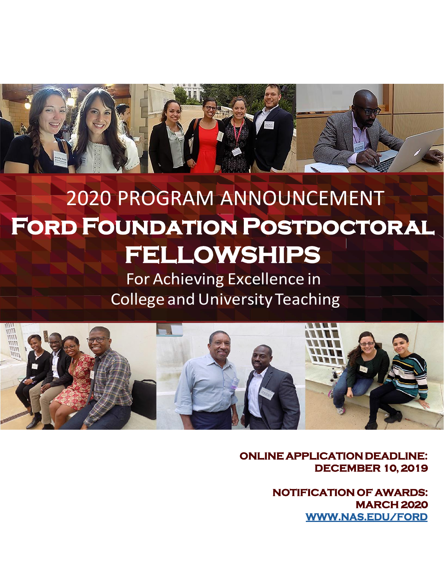

# 2020 PROGRAM ANNOUNCEMENT **Ford Foundation Postdoctoral FELLOWSHIPS**

For Achieving Excellence in **College and University Teaching** 



**ONLINE APPLICATION DEADLINE: DECEMBER 10, 2019**

> **NOTIFICATION OF AWARDS: MARCH 2020 [WWW.NAS.EDU/FORD](http://www.nas.edu/ford)**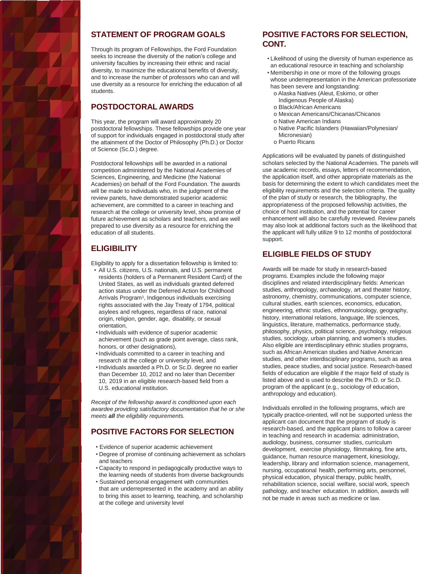

# **STATEMENT OF PROGRAM GOALS**

Through its program of Fellowships, the Ford Foundation seeks to increase the diversity of the nation's college and university faculties by increasing their ethnic and racial diversity, to maximize the educational benefits of diversity, and to increase the number of professors who can and will use diversity as a resource for enriching the education of all students.

#### **POSTDOCTORAL AWARDS**

This year, the program will award approximately 20 postdoctoral fellowships. These fellowships provide one year of support for individuals engaged in postdoctoral study after the attainment of the Doctor of Philosophy (Ph.D.) or Doctor of Science (Sc.D.) degree.

Postdoctoral fellowships will be awarded in a national competition administered by the National Academies of Sciences, Engineering, and Medicine (the National Academies) on behalf of the Ford Foundation. The awards will be made to individuals who, in the judgment of the review panels, have demonstrated superior academic achievement, are committed to a career in teaching and research at the college or university level, show promise of future achievement as scholars and teachers, and are well prepared to use diversity as a resource for enriching the education of all students.

#### **ELIGIBILITY**

Eligibility to apply for a dissertation fellowship is limited to:

- All U.S. citizens, U.S. nationals, and U.S. permanent residents (holders of a Permanent Resident Card) of the United States, as well as individuals granted deferred action status under the Deferred Action for Childhood Arrivals Program<sup>1</sup>, Indigenous individuals exercising rights associated with the Jay Treaty of 1794, political asylees and refugees, regardless of race, national origin, religion, gender, age, disability, or sexual orientation,
- •Individuals with evidence of superior academic achievement (such as grade point average, class rank, honors, or other designations),
- •Individuals committed to a career in teaching and research at the college or university level, and
- •Individuals awarded a Ph.D. or Sc.D. degree no earlier than December 10, 2012 and no later than December 10, 2019 in an eligible research-based field from a U.S. educational institution.

*Receipt of the fellowship award is conditioned upon each awardee providing satisfactory documentation that he or she meets all the eligibility requirements.*

# **POSITIVE FACTORS FOR SELECTION**

- Evidence of superior academic achievement
- Degree of promise of continuing achievement as scholars and teachers
- Capacity to respond in pedagogically productive ways to the learning needs of students from diverse backgrounds
- Sustained personal engagement with communities that are underrepresented in the academy and an ability to bring this asset to learning, teaching, and scholarship at the college and university level

#### **POSITIVE FACTORS FOR SELECTION, CONT.**

- Likelihood of using the diversity of human experience as an educational resource in teaching and scholarship
- Membership in one or more of the following groups whose underrepresentation in the American professoriate has been severe and longstanding:
- o Alaska Natives (Aleut, Eskimo, or other Indigenous People of Alaska)
- o Black/African Americans
- o Mexican Americans/Chicanas/Chicanos
- o Native American Indians
- o Native Pacific Islanders (Hawaiian/Polynesian/ Micronesian)
- o Puerto Ricans

Applications will be evaluated by panels of distinguished scholars selected by the National Academies. The panels will use academic records, essays, letters of recommendation, the application itself, and other appropriate materials as the basis for determining the extent to which candidates meet the eligibility requirements and the selection criteria. The quality of the plan of study or research, the bibliography, the appropriateness of the proposed fellowship activities, the choice of host institution, and the potential for career enhancement will also be carefully reviewed. Review panels may also look at additional factors such as the likelihood that the applicant will fully utilize 9 to 12 months of postdoctoral support.

#### **ELIGIBLE FIELDS OF STUDY**

Awards will be made for study in research-based programs. Examples include the following major disciplines and related interdisciplinary fields: American studies, anthropology, archaeology, art and theater history, astronomy, chemistry, communications, computer science, cultural studies, earth sciences, economics, education, engineering, ethnic studies, ethnomusicology, geography, history, international relations, language, life sciences, linguistics, literature, mathematics, performance study, philosophy, physics, political science, psychology, religious studies, sociology, urban planning, and women's studies. Also eligible are interdisciplinary ethnic studies programs, such as African American studies and Native American studies, and other interdisciplinary programs, such as area studies, peace studies, and social justice. Research-based fields of education are eligible if the major field of study is listed above and is used to describe the Ph.D. or Sc.D. program of the applicant (e.g., sociology of education, anthropology and education).

Individuals enrolled in the following programs, which are typically practice-oriented, will not be supported unless the applicant can document that the program of study is research-based, and the applicant plans to follow a career in teaching and research in academia: administration, audiology, business, consumer studies, curriculum development, exercise physiology, filmmaking, fine arts, guidance, human resource management, kinesiology, leadership, library and information science, management, nursing, occupational health, performing arts, personnel, physical education, physical therapy, public health, rehabilitation science, social welfare, social work, speech pathology, and teacher education. In addition, awards will not be made in areas such as medicine or law.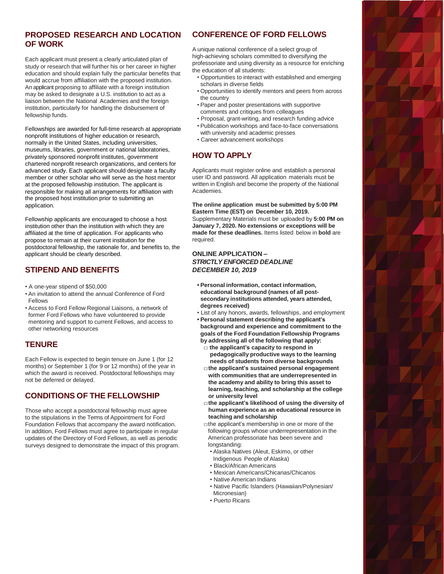# **PROPOSED RESEARCH AND LOCATION OF WORK**

Each applicant must present a clearly articulated plan of study or research that will further his or her career in higher education and should explain fully the particular benefits that would accrue from affiliation with the proposed institution. An applicant proposing to affiliate with a foreign institution may be asked to designate a U.S. institution to act as a liaison between the National Academies and the foreign institution, particularly for handling the disbursement of fellowship funds.

Fellowships are awarded for full-time research at appropriate nonprofit institutions of higher education or research, normally in the United States, including universities, museums, libraries, government or national laboratories, privately sponsored nonprofit institutes, government chartered nonprofit research organizations, and centers for advanced study. Each applicant should designate a faculty member or other scholar who will serve as the host mentor at the proposed fellowship institution. The applicant is responsible for making all arrangements for affiliation with the proposed host institution prior to submitting an application.

Fellowship applicants are encouraged to choose a host institution other than the institution with which they are affiliated at the time of application. For applicants who propose to remain at their current institution for the postdoctoral fellowship, the rationale for, and benefits to, the applicant should be clearly described.

#### **STIPEND AND BENEFITS**

- A one-year stipend of \$50,000
- An invitation to attend the annual Conference of Ford Fellows
- Access to Ford Fellow Regional Liaisons, a network of former Ford Fellows who have volunteered to provide mentoring and support to current Fellows, and access to other networking resources

# **TENURE**

Each Fellow is expected to begin tenure on June 1 (for 12 months) or September 1 (for 9 or 12 months) of the year in which the award is received. Postdoctoral fellowships may not be deferred or delayed.

# **CONDITIONS OF THE FELLOWSHIP**

Those who accept a postdoctoral fellowship must agree to the stipulations in the Terms of Appointment for Ford Foundation Fellows that accompany the award notification. In addition, Ford Fellows must agree to participate in regular updates of the Directory of Ford Fellows, as well as periodic surveys designed to demonstrate the impact of this program.

# **CONFERENCE OF FORD FELLOWS**

A unique national conference of a select group of high-achieving scholars committed to diversifying the professoriate and using diversity as a resource for enriching the education of all students:

- Opportunities to interact with established and emerging scholars in diverse fields
- Opportunities to identify mentors and peers from across the country
- Paper and poster presentations with supportive comments and critiques from colleagues
- Proposal, grant-writing, and research funding advice
- Publication workshops and face-to-face conversations with university and academic presses
- Career advancement workshops

# **HOW TO APPLY**

Applicants must register online and establish a personal user ID and password. All application materials must be written in English and become the property of the National Academies.

**The online application must be submitted by 5:00 PM Eastern Time (EST) on December 10, 2019.**  Supplementary Materials must be uploaded by **5:00 PM on January 7, 2020. No extensions or exceptions will be made for these deadlines.** Items listed below in **bold** are required.

#### **ONLINE APPLICATION –** *STRICTLY ENFORCED DEADLINE DECEMBER 10, 2019*

- **• Personal information, contact information, educational background (names of all postsecondary institutions attended, years attended, degrees received)**
- List of any honors, awards, fellowships, and employment
- **• Personal statement describing the applicant's background and experience and commitment to the goals of the Ford Foundation Fellowship Programs**
- **by addressing all of the following that apply: □ the applicant's capacity to respond in**
- **pedagogically productive ways to the learning needs of students from diverse backgrounds**
- **□the applicant's sustained personal engagement with communities that are underrepresented in the academy and ability to bring this asset to learning, teaching, and scholarship at the college or university level**
- **□the applicant's likelihood of using the diversity of human experience as an educational resource in teaching and scholarship**
- $\Box$ the applicant's membership in one or more of the following groups whose underrepresentation in the American professoriate has been severe and longstanding:
	- Alaska Natives (Aleut, Eskimo, or other Indigenous People of Alaska)
	- Black/African Americans
	- Mexican Americans/Chicanas/Chicanos
- Native American Indians
- Native Pacific Islanders (Hawaiian/Polynesian/ Micronesian)
- Puerto Ricans